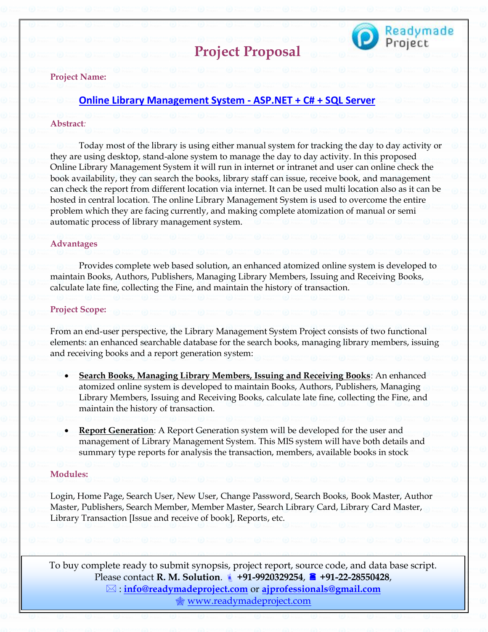

# **Project Proposal**

#### **Project Name:**

## **[Online Library Management System -](https://readymadeproject.com/FullProjectDetail?id=2) ASP.NET + C# + SQL Server**

#### **Abstract***:*

Today most of the library is using either manual system for tracking the day to day activity or they are using desktop, stand-alone system to manage the day to day activity. In this proposed Online Library Management System it will run in internet or intranet and user can online check the book availability, they can search the books, library staff can issue, receive book, and management can check the report from different location via internet. It can be used multi location also as it can be hosted in central location. The online Library Management System is used to overcome the entire problem which they are facing currently, and making complete atomization of manual or semi automatic process of library management system.

#### **Advantages**

Provides complete web based solution, an enhanced atomized online system is developed to maintain Books, Authors, Publishers, Managing Library Members, Issuing and Receiving Books, calculate late fine, collecting the Fine, and maintain the history of transaction.

#### **Project Scope:**

From an end-user perspective, the Library Management System Project consists of two functional elements: an enhanced searchable database for the search books, managing library members, issuing and receiving books and a report generation system:

- **Search Books, Managing Library Members, Issuing and Receiving Books**: An enhanced atomized online system is developed to maintain Books, Authors, Publishers, Managing Library Members, Issuing and Receiving Books, calculate late fine, collecting the Fine, and maintain the history of transaction.
- **Report Generation**: A Report Generation system will be developed for the user and management of Library Management System. This MIS system will have both details and summary type reports for analysis the transaction, members, available books in stock

## **Modules:**

Login, Home Page, Search User, New User, Change Password, Search Books, Book Master, Author Master, Publishers, Search Member, Member Master, Search Library Card, Library Card Master, Library Transaction [Issue and receive of book], Reports, etc.

To buy complete ready to submit synopsis, project report, source code, and data base script. Please contact **R. M. Solution**. **+91-9920329254**, **+91-22-28550428**, : **[info@readymadeproject.com](mailto:info@readymadeproject.com)** or **[ajprofessionals@gmail.com](mailto:ajprofessionals@gmail.com)** [www.readymadeproject.com](http://www.readymadeproject.com/)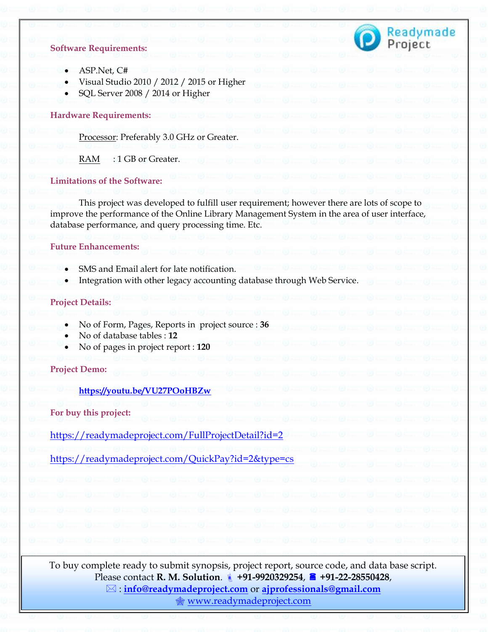

#### **Software Requirements:**

- ASP.Net, C#
- Visual Studio 2010 / 2012 / 2015 or Higher
- SQL Server 2008 / 2014 or Higher

### **Hardware Requirements:**

Processor: Preferably 3.0 GHz or Greater.

RAM : 1 GB or Greater.

#### **Limitations of the Software:**

This project was developed to fulfill user requirement; however there are lots of scope to improve the performance of the Online Library Management System in the area of user interface, database performance, and query processing time. Etc.

### **Future Enhancements:**

- SMS and Email alert for late notification.
- Integration with other legacy accounting database through Web Service.

#### **Project Details:**

- No of Form, Pages, Reports in project source : **36**
- No of database tables : **12**
- No of pages in project report : **120**

**Project Demo:**

**<https://youtu.be/VU27POoHBZw>**

**For buy this project:**

<https://readymadeproject.com/FullProjectDetail?id=2>

<https://readymadeproject.com/QuickPay?id=2&type=cs>

To buy complete ready to submit synopsis, project report, source code, and data base script. Please contact **R. M. Solution**. **+91-9920329254**, **+91-22-28550428**, : **[info@readymadeproject.com](mailto:info@readymadeproject.com)** or **[ajprofessionals@gmail.com](mailto:ajprofessionals@gmail.com)** [www.readymadeproject.com](http://www.readymadeproject.com/)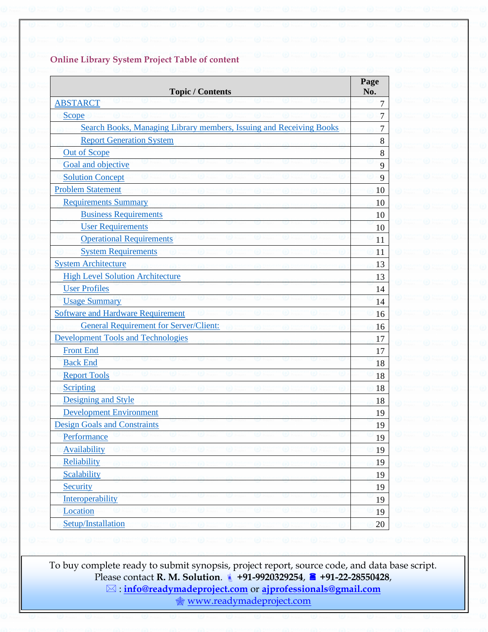# **Online Library System Project Table of content**

| <b>Topic / Contents</b>                                             | Page<br>No.    |
|---------------------------------------------------------------------|----------------|
| <b>ABSTARCT</b>                                                     | $\overline{7}$ |
| <b>Scope</b>                                                        | $\overline{7}$ |
| Search Books, Managing Library members, Issuing and Receiving Books | 7              |
| <b>Report Generation System</b>                                     | 8              |
| <b>Out of Scope</b>                                                 | 8              |
| Goal and objective                                                  | 9              |
| <b>Solution Concept</b>                                             | 9              |
| <b>Problem Statement</b>                                            | 10             |
| <b>Requirements Summary</b>                                         | 10             |
| <b>Business Requirements</b>                                        | 10             |
| <b>User Requirements</b>                                            | 10             |
| <b>Operational Requirements</b>                                     | 11             |
| <b>System Requirements</b>                                          | 11             |
| <b>System Architecture</b>                                          | 13             |
| <b>High Level Solution Architecture</b>                             | 13             |
| <b>User Profiles</b>                                                | 14             |
| <b>Usage Summary</b>                                                | 14             |
| <b>Software and Hardware Requirement</b>                            | 16             |
| <b>General Requirement for Server/Client:</b>                       | 16             |
| <b>Development Tools and Technologies</b>                           | 17             |
| <b>Front End</b>                                                    | 17             |
| <b>Back End</b>                                                     | 18             |
| <b>Report Tools</b>                                                 | 18             |
| <b>Scripting</b>                                                    | 18             |
| <b>Designing and Style</b>                                          | 18             |
| <b>Development Environment</b>                                      | 19             |
| <b>Design Goals and Constraints</b>                                 | 19             |
| Performance                                                         | 19             |
| Availability                                                        | 19             |
| Reliability                                                         | 19             |
| Scalability                                                         | 19             |
| Security                                                            | 19             |
| Interoperability                                                    | 19             |
| Location                                                            | 19             |
| Setup/Installation                                                  | 20             |

To buy complete ready to submit synopsis, project report, source code, and data base script. Please contact **R. M. Solution**. **+91-9920329254**, **+91-22-28550428**, : **[info@readymadeproject.com](mailto:info@readymadeproject.com)** or **[ajprofessionals@gmail.com](mailto:ajprofessionals@gmail.com)** [www.readymadeproject.com](http://www.readymadeproject.com/)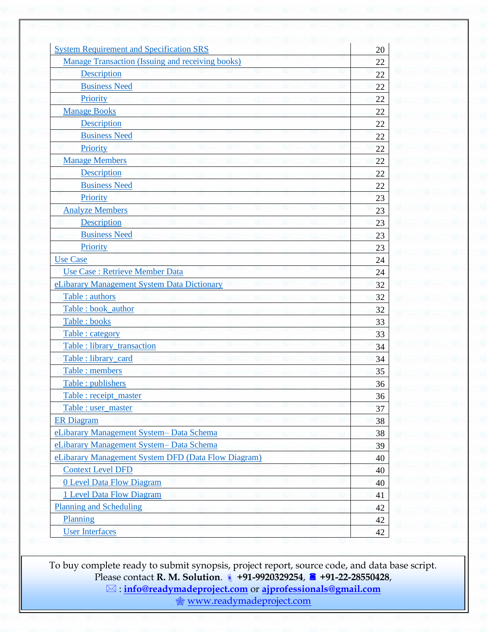| Manage Transaction (Issuing and receiving books)                                                                                                          |         |
|-----------------------------------------------------------------------------------------------------------------------------------------------------------|---------|
|                                                                                                                                                           | 22      |
| Description                                                                                                                                               | 22      |
| <b>Business Need</b>                                                                                                                                      | 22      |
| Priority                                                                                                                                                  | 22      |
| <b>Manage Books</b>                                                                                                                                       | 22      |
| Description                                                                                                                                               | 22      |
| <b>Business Need</b>                                                                                                                                      | 22      |
| Priority                                                                                                                                                  | 22      |
| <b>Manage Members</b>                                                                                                                                     | 22      |
| <b>Description</b>                                                                                                                                        | 22      |
| <b>Business Need</b>                                                                                                                                      | 22      |
| Priority                                                                                                                                                  | 23      |
| <b>Analyze Members</b>                                                                                                                                    | 23      |
| Description                                                                                                                                               | 23      |
| <b>Business Need</b>                                                                                                                                      | 23      |
| Priority                                                                                                                                                  | 23      |
| <b>Use Case</b>                                                                                                                                           | 24      |
| Use Case: Retrieve Member Data                                                                                                                            | 24      |
| eLibarary Management System Data Dictionary                                                                                                               | 32      |
| Table : authors                                                                                                                                           | 32      |
| Table : book_author                                                                                                                                       | 32      |
| Table: books                                                                                                                                              | 33      |
| Table : category                                                                                                                                          | 33      |
| Table : library transaction                                                                                                                               | 34      |
| Table : library_card                                                                                                                                      | 34      |
| Table : members                                                                                                                                           | 35      |
| Table : publishers                                                                                                                                        | 36      |
| Table : receipt_master                                                                                                                                    | 36      |
| Table : user_master                                                                                                                                       | 37      |
| <b>ER Diagram</b>                                                                                                                                         | 38      |
| eLibarary Management System-Data Schema                                                                                                                   | 38      |
| eLibarary Management System-Data Schema                                                                                                                   | 39      |
| eLibarary Management System DFD (Data Flow Diagram)                                                                                                       | 40      |
| <b>Context Level DFD</b>                                                                                                                                  | 40      |
| <b>0 Level Data Flow Diagram</b>                                                                                                                          | 40      |
| 1 Level Data Flow Diagram                                                                                                                                 | 41      |
| <b>Planning and Scheduling</b>                                                                                                                            | 42      |
| Planning                                                                                                                                                  | 42      |
| <b>Projec</b><br><b>LE</b> Proje<br><b>Project</b><br><b>Projec</b><br><b>Let Projet</b><br><b>Let Projet</b><br><b>Project</b><br><b>User Interfaces</b> | œ<br>42 |

To buy complete ready to submit synopsis, project report, source code, and data base script. Please contact **R. M. Solution**. **+91-9920329254**, **+91-22-28550428**, : **[info@readymadeproject.com](mailto:info@readymadeproject.com)** or **[ajprofessionals@gmail.com](mailto:ajprofessionals@gmail.com)** [www.readymadeproject.com](http://www.readymadeproject.com/)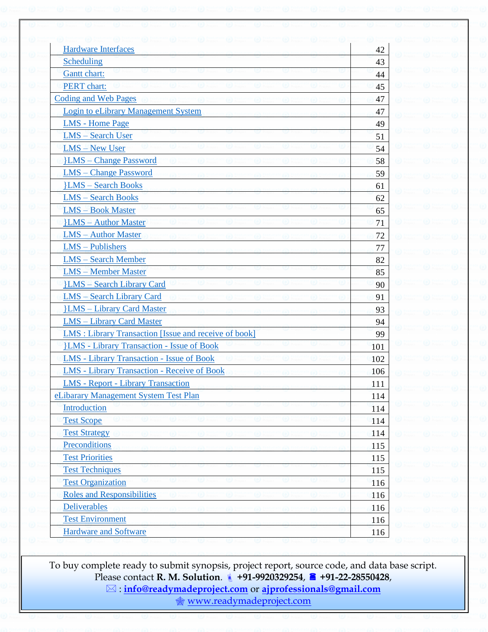| <b>Hardware Interfaces</b>                                   | 42  |
|--------------------------------------------------------------|-----|
| Scheduling                                                   | 43  |
| <b>Gantt</b> chart:                                          | 44  |
| <b>PERT</b> chart:                                           | 45  |
| Coding and Web Pages                                         | 47  |
| <b>Login to eLibrary Management System</b>                   | 47  |
| <b>LMS</b> - Home Page                                       | 49  |
| <b>LMS</b> - Search User                                     | 51  |
| <b>LMS</b> - New User                                        | 54  |
| <b>LMS</b> – Change Password                                 | 58  |
| <b>LMS</b> - Change Password                                 | 59  |
| <b>ILMS</b> – Search Books                                   | 61  |
| <b>LMS</b> - Search Books                                    | 62  |
| <b>LMS</b> - Book Master                                     | 65  |
| <b>LMS</b> – Author Master                                   | 71  |
| <b>LMS</b> - Author Master                                   | 72  |
| LMS - Publishers                                             | 77  |
| <b>LMS</b> - Search Member                                   | 82  |
| <b>LMS</b> - Member Master                                   | 85  |
| <b>JLMS</b> - Search Library Card                            | 90  |
| <b>LMS</b> - Search Library Card                             | 91  |
| <b>}LMS</b> - Library Card Master                            | 93  |
| <b>LMS</b> - Library Card Master                             | 94  |
| <b>LMS</b> : Library Transaction [Issue and receive of book] | 99  |
| <b>HMS</b> - Library Transaction - Issue of Book             | 101 |
| <b>LMS</b> - Library Transaction - Issue of Book             | 102 |
| <b>LMS</b> - Library Transaction - Receive of Book           | 106 |
| <b>LMS</b> - Report - Library Transaction                    | 111 |
| eLibarary Management System Test Plan                        | 114 |
| Introduction                                                 | 114 |
| <b>Test Scope</b>                                            | 114 |
| <b>Test Strategy</b>                                         | 114 |
| Preconditions                                                | 115 |
| <b>Test Priorities</b>                                       | 115 |
| <b>Test Techniques</b>                                       | 115 |
| <b>Test Organization</b>                                     | 116 |
| <b>Roles and Responsibilities</b>                            | 116 |
| <b>Deliverables</b>                                          | 116 |
| <b>Test Environment</b>                                      | 116 |
| <b>Hardware and Software</b>                                 | 116 |

To buy complete ready to submit synopsis, project report, source code, and data base script. Please contact **R. M. Solution**. **+91-9920329254**, **+91-22-28550428**, : **[info@readymadeproject.com](mailto:info@readymadeproject.com)** or **[ajprofessionals@gmail.com](mailto:ajprofessionals@gmail.com)** [www.readymadeproject.com](http://www.readymadeproject.com/)